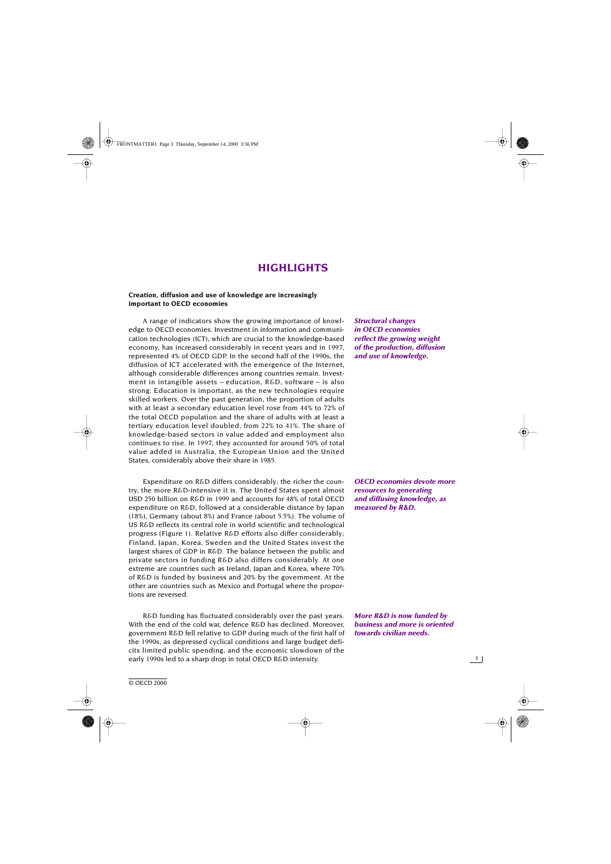# **HIGHLIGHTS**

## **Creation, diffusion and use of knowledge are increasingly important to OECD economies**

A range of indicators show the growing importance of knowledge to OECD economies. Investment in information and communication technologies (ICT), which are crucial to the knowledge-based economy, has increased considerably in recent years and in 1997, represented 4% of OECD GDP. In the second half of the 1990s, the diffusion of ICT accelerated with the emergence of the Internet, although considerable differences among countries remain. Investment in intangible assets – education, R&D, software – is also strong. Education is important, as the new technologies require skilled workers. Over the past generation, the proportion of adults with at least a secondary education level rose from 44% to 72% of the total OECD population and the share of adults with at least a tertiary education level doubled, from 22% to 41%. The share of knowledge-based sectors in value added and employment also continues to rise. In 1997, they accounted for around 50% of total value added in Australia, the European Union and the United States, considerably above their share in 1985.

Expenditure on R&D differs considerably; the richer the country, the more R&D-intensive it is. The United States spent almost USD 250 billion on R&D in 1999 and accounts for 48% of total OECD expenditure on R&D, followed at a considerable distance by Japan (18%), Germany (about 8%) and France (about 5.5%). The volume of US R&D reflects its central role in world scientific and technological progress (Figure 1). Relative R&D efforts also differ considerably; Finland, Japan, Korea, Sweden and the United States invest the largest shares of GDP in R&D. The balance between the public and private sectors in funding R&D also differs considerably. At one extreme are countries such as Ireland, Japan and Korea, where 70% of R&D is funded by business and 20% by the government. At the other are countries such as Mexico and Portugal where the proportions are reversed.

R&D funding has fluctuated considerably over the past years. With the end of the cold war, defence R&D has declined. Moreover, government R&D fell relative to GDP during much of the first half of the 1990s, as depressed cyclical conditions and large budget deficits limited public spending, and the economic slowdown of the early 1990s led to a sharp drop in total OECD R&D intensity.

*Structural changes in OECD economies reflect the growing weight of the production, diffusion and use of knowledge.*

*OECD economies devote more resources to generating and diffusing knowledge, as measured by R&D.*

*More R&D is now funded by business and more is oriented towards civilian needs.*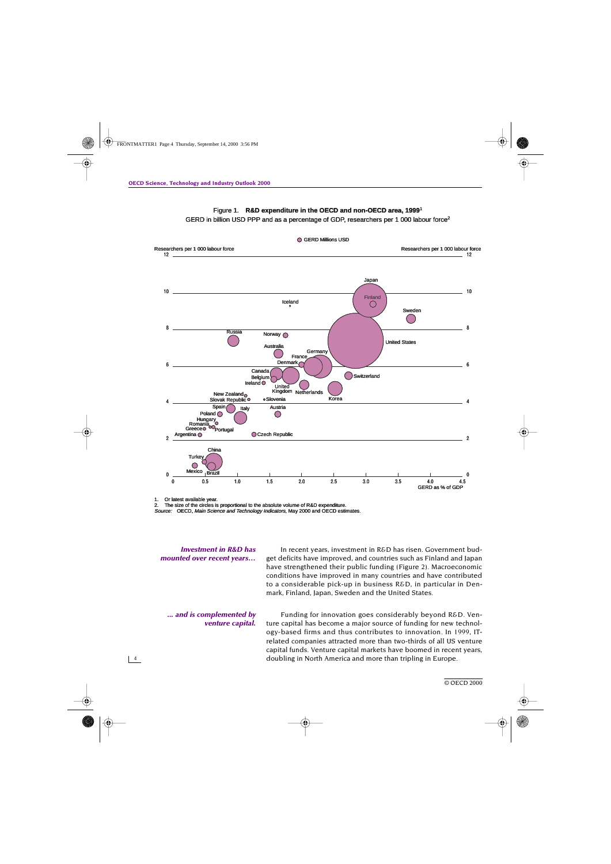

## Figure 1. **R&D expenditure in the OECD and non-OECD area, 1999**<sup>1</sup> GERD in billion USD PPP and as a percentage of GDP, researchers per 1 000 labour force<sup>2</sup>

1. Or latest available year.

 *4*

2. The size of the circles is proportional to the absolute volume of R&D expenditure.

Source: OECD, Main Science and Technology Indicators, May 2000 and OECD estimates.

*Investment in R&D has mounted over recent years…*

In recent years, investment in R&D has risen. Government budget deficits have improved, and countries such as Finland and Japan have strengthened their public funding (Figure 2). Macroeconomic conditions have improved in many countries and have contributed to a considerable pick-up in business R&D, in particular in Denmark, Finland, Japan, Sweden and the United States.

## *... and is complemented by venture capital.*

Funding for innovation goes considerably beyond R&D. Venture capital has become a major source of funding for new technology-based firms and thus contributes to innovation. In 1999, ITrelated companies attracted more than two-thirds of all US venture capital funds. Venture capital markets have boomed in recent years, doubling in North America and more than tripling in Europe.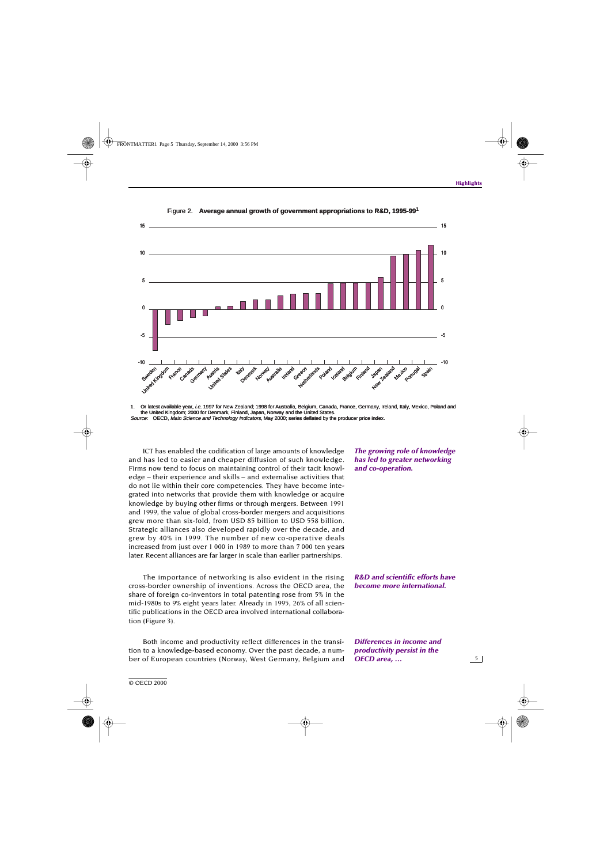

Figure 2. **Average annual growth of government appropriations to R&D, 1995-99**<sup>1</sup>

1. Or latest available year, i.e. 1997 for New Zealand; 1998 for Australia, Belgium, Canada, France, Germany, Ireland, Italy, Mexico, Poland and the United Kingdom; 2000 for Denmark, Finland, Japan, Norway and the United States. Source: OECD, Main Science and Technology Indicators, May 2000; series deflated by the producer price index.

ICT has enabled the codification of large amounts of knowledge and has led to easier and cheaper diffusion of such knowledge. Firms now tend to focus on maintaining control of their tacit knowledge – their experience and skills – and externalise activities that do not lie within their core competencies. They have become integrated into networks that provide them with knowledge or acquire knowledge by buying other firms or through mergers. Between 1991 and 1999, the value of global cross-border mergers and acquisitions grew more than six-fold, from USD 85 billion to USD 558 billion. Strategic alliances also developed rapidly over the decade, and grew by 40% in 1999. The number of new co-operative deals increased from just over 1 000 in 1989 to more than 7 000 ten years later. Recent alliances are far larger in scale than earlier partnerships.

The importance of networking is also evident in the rising cross-border ownership of inventions. Across the OECD area, the share of foreign co-inventors in total patenting rose from 5% in the mid-1980s to 9% eight years later. Already in 1995, 26% of all scientific publications in the OECD area involved international collaboration (Figure 3).

Both income and productivity reflect differences in the transition to a knowledge-based economy. Over the past decade, a number of European countries (Norway, West Germany, Belgium and *The growing role of knowledge has led to greater networking and co-operation.*

*R&D and scientific efforts have become more international.*

*Differences in income and productivity persist in the OECD area, …*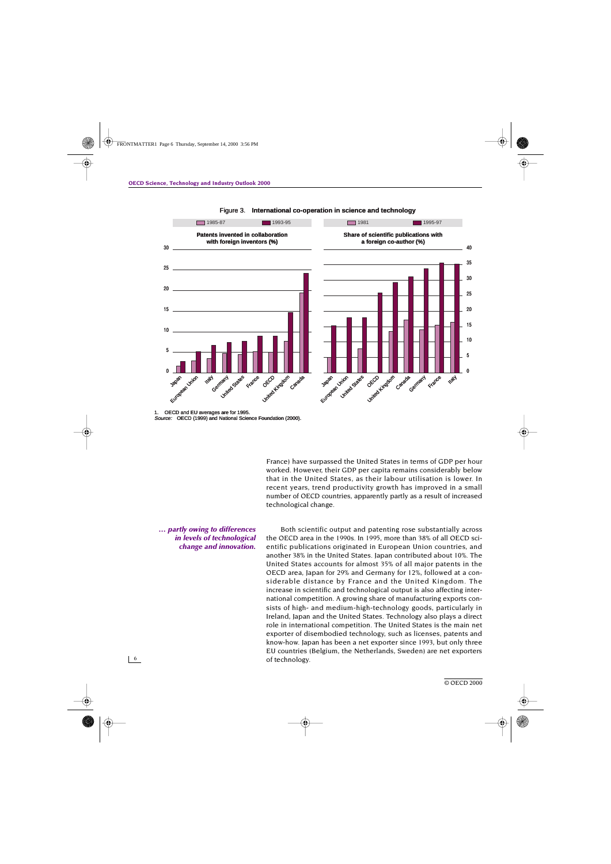

#### Figure 3. **International co-operation in science and technology**

1. OECD and EU averages are for 1995. Source: OECD (1999) and National Science Foundation (2000).

> France) have surpassed the United States in terms of GDP per hour worked. However, their GDP per capita remains considerably below that in the United States, as their labour utilisation is lower. In recent years, trend productivity growth has improved in a small number of OECD countries, apparently partly as a result of increased technological change.

*… partly owing to differences in levels of technological change and innovation.*

 *6*

Both scientific output and patenting rose substantially across the OECD area in the 1990s. In 1995, more than 38% of all OECD scientific publications originated in European Union countries, and another 38% in the United States. Japan contributed about 10%. The United States accounts for almost 35% of all major patents in the OECD area, Japan for 29% and Germany for 12%, followed at a considerable distance by France and the United Kingdom. The increase in scientific and technological output is also affecting international competition. A growing share of manufacturing exports consists of high- and medium-high-technology goods, particularly in Ireland, Japan and the United States. Technology also plays a direct role in international competition. The United States is the main net exporter of disembodied technology, such as licenses, patents and know-how. Japan has been a net exporter since 1993, but only three EU countries (Belgium, the Netherlands, Sweden) are net exporters of technology.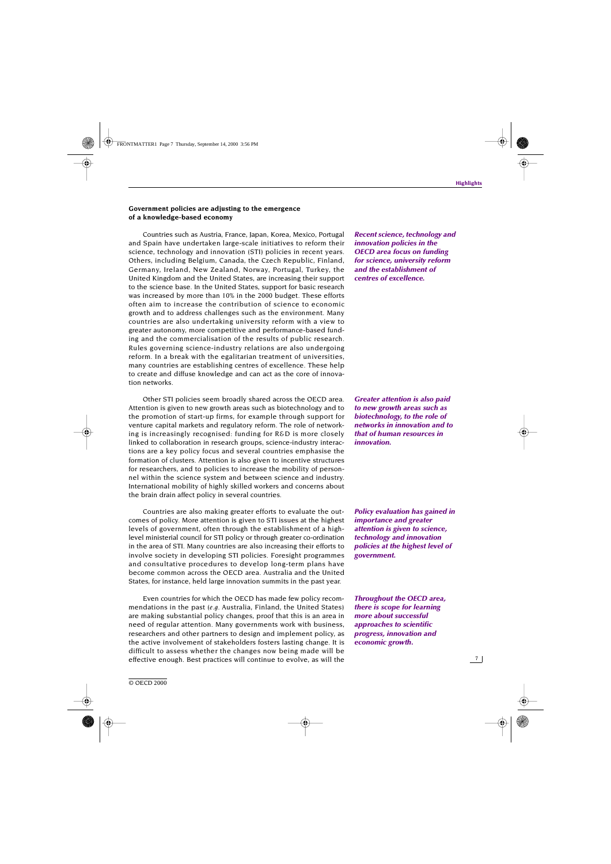## **Government policies are adjusting to the emergence of a knowledge-based economy**

Countries such as Austria, France, Japan, Korea, Mexico, Portugal and Spain have undertaken large-scale initiatives to reform their science, technology and innovation (STI) policies in recent years. Others, including Belgium, Canada, the Czech Republic, Finland, Germany, Ireland, New Zealand, Norway, Portugal, Turkey, the United Kingdom and the United States, are increasing their support to the science base. In the United States, support for basic research was increased by more than 10% in the 2000 budget. These efforts often aim to increase the contribution of science to economic growth and to address challenges such as the environment. Many countries are also undertaking university reform with a view to greater autonomy, more competitive and performance-based funding and the commercialisation of the results of public research. Rules governing science-industry relations are also undergoing reform. In a break with the egalitarian treatment of universities, many countries are establishing centres of excellence. These help to create and diffuse knowledge and can act as the core of innovation networks.

Other STI policies seem broadly shared across the OECD area. Attention is given to new growth areas such as biotechnology and to the promotion of start-up firms, for example through support for venture capital markets and regulatory reform. The role of networking is increasingly recognised: funding for R&D is more closely linked to collaboration in research groups, science-industry interactions are a key policy focus and several countries emphasise the formation of clusters. Attention is also given to incentive structures for researchers, and to policies to increase the mobility of personnel within the science system and between science and industry. International mobility of highly skilled workers and concerns about the brain drain affect policy in several countries.

Countries are also making greater efforts to evaluate the outcomes of policy. More attention is given to STI issues at the highest levels of government, often through the establishment of a highlevel ministerial council for STI policy or through greater co-ordination in the area of STI. Many countries are also increasing their efforts to involve society in developing STI policies. Foresight programmes and consultative procedures to develop long-term plans have become common across the OECD area. Australia and the United States, for instance, held large innovation summits in the past year.

Even countries for which the OECD has made few policy recommendations in the past (*e.g.* Australia, Finland, the United States) are making substantial policy changes, proof that this is an area in need of regular attention. Many governments work with business, researchers and other partners to design and implement policy, as the active involvement of stakeholders fosters lasting change. It is difficult to assess whether the changes now being made will be effective enough. Best practices will continue to evolve, as will the *Recent science, technology and innovation policies in the OECD area focus on funding for science, university reform and the establishment of centres of excellence.* 

*Greater attention is also paid to new growth areas such as biotechnology, to the role of networks in innovation and to that of human resources in innovation.* 

*Policy evaluation has gained in importance and greater attention is given to science, technology and innovation policies at the highest level of government.* 

*Throughout the OECD area, there is scope for learning more about successful approaches to scientific progress, innovation and economic growth.* 

 *7*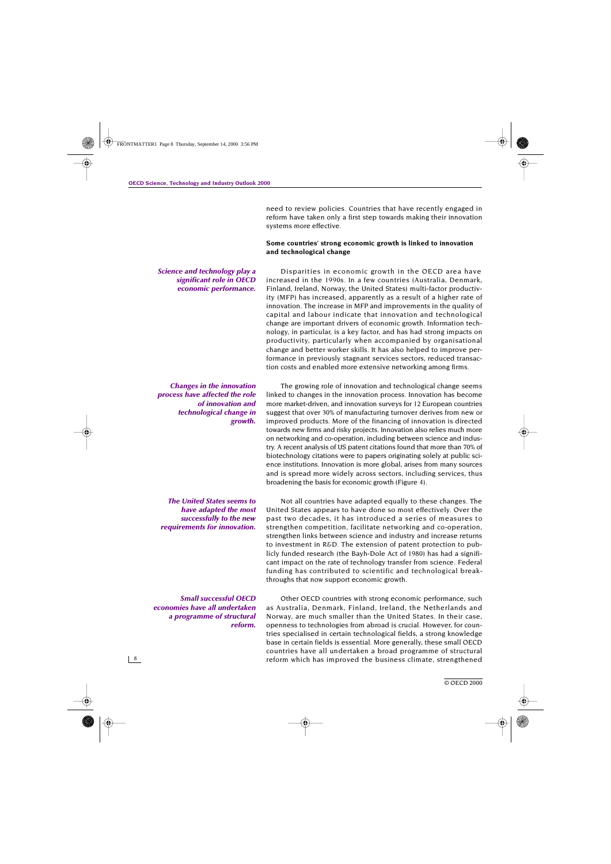need to review policies. Countries that have recently engaged in reform have taken only a first step towards making their innovation systems more effective.

#### **Some countries' strong economic growth is linked to innovation and technological change**

## *Science and technology play a significant role in OECD economic performance.*

Disparities in economic growth in the OECD area have increased in the 1990s. In a few countries (Australia, Denmark, Finland, Ireland, Norway, the United States) multi-factor productivity (MFP) has increased, apparently as a result of a higher rate of innovation. The increase in MFP and improvements in the quality of capital and labour indicate that innovation and technological change are important drivers of economic growth. Information technology, in particular, is a key factor, and has had strong impacts on productivity, particularly when accompanied by organisational change and better worker skills. It has also helped to improve performance in previously stagnant services sectors, reduced transaction costs and enabled more extensive networking among firms.

*Changes in the innovation process have affected the role of innovation and technological change in growth.*

linked to changes in the innovation process. Innovation has become more market-driven, and innovation surveys for 12 European countries suggest that over 30% of manufacturing turnover derives from new or improved products. More of the financing of innovation is directed towards new firms and risky projects. Innovation also relies much more on networking and co-operation, including between science and industry. A recent analysis of US patent citations found that more than 70% of biotechnology citations were to papers originating solely at public science institutions. Innovation is more global, arises from many sources and is spread more widely across sectors, including services, thus broadening the basis for economic growth (Figure 4).

The growing role of innovation and technological change seems

*The United States seems to have adapted the most successfully to the new requirements for innovation.*

*Small successful OECD economies have all undertaken a programme of structural reform.*

Not all countries have adapted equally to these changes. The United States appears to have done so most effectively. Over the past two decades, it has introduced a series of measures to strengthen competition, facilitate networking and co-operation, strengthen links between science and industry and increase returns to investment in R&D. The extension of patent protection to publicly funded research (the Bayh-Dole Act of 1980) has had a significant impact on the rate of technology transfer from science. Federal funding has contributed to scientific and technological breakthroughs that now support economic growth.

Other OECD countries with strong economic performance, such as Australia, Denmark, Finland, Ireland, the Netherlands and Norway, are much smaller than the United States. In their case, openness to technologies from abroad is crucial. However, for countries specialised in certain technological fields, a strong knowledge base in certain fields is essential. More generally, these small OECD countries have all undertaken a broad programme of structural reform which has improved the business climate, strengthened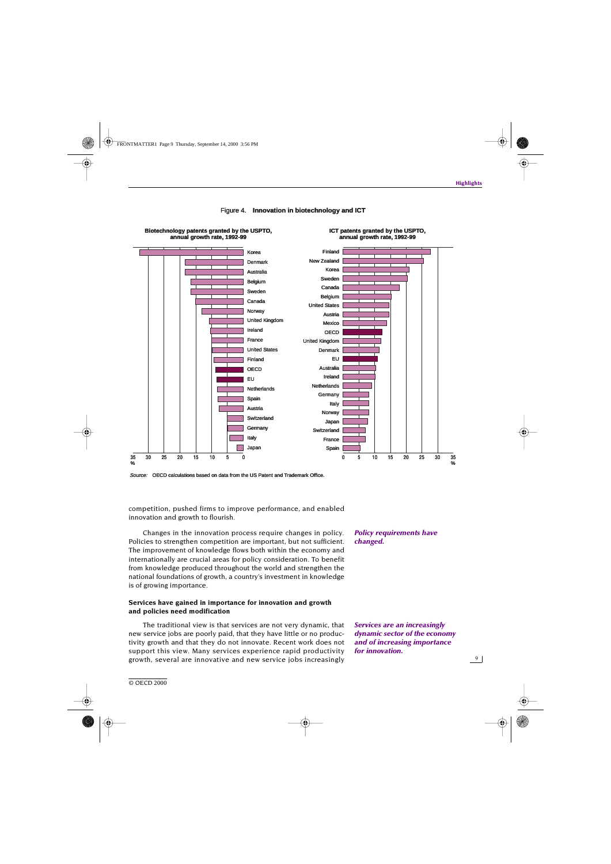

Figure 4. **Innovation in biotechnology and ICT**

Source: OECD calculations based on data from the US Patent and Trademark Office.

competition, pushed firms to improve performance, and enabled innovation and growth to flourish.

Changes in the innovation process require changes in policy. Policies to strengthen competition are important, but not sufficient. The improvement of knowledge flows both within the economy and internationally are crucial areas for policy consideration. To benefit from knowledge produced throughout the world and strengthen the national foundations of growth, a country's investment in knowledge is of growing importance.

## **Services have gained in importance for innovation and growth and policies need modification**

The traditional view is that services are not very dynamic, that new service jobs are poorly paid, that they have little or no productivity growth and that they do not innovate. Recent work does not support this view. Many services experience rapid productivity growth, several are innovative and new service jobs increasingly

## *Policy requirements have changed.*

*Services are an increasingly dynamic sector of the economy and of increasing importance for innovation.*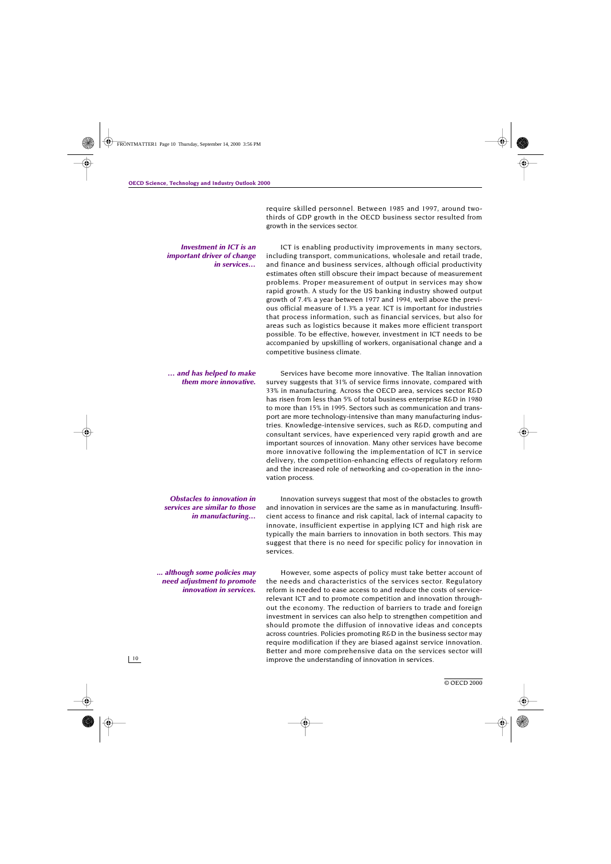require skilled personnel. Between 1985 and 1997, around twothirds of GDP growth in the OECD business sector resulted from growth in the services sector.

## *Investment in ICT is an important driver of change in services…*

ICT is enabling productivity improvements in many sectors, including transport, communications, wholesale and retail trade, and finance and business services, although official productivity estimates often still obscure their impact because of measurement problems. Proper measurement of output in services may show rapid growth. A study for the US banking industry showed output growth of 7.4% a year between 1977 and 1994, well above the previous official measure of 1.3% a year. ICT is important for industries that process information, such as financial services, but also for areas such as logistics because it makes more efficient transport possible. To be effective, however, investment in ICT needs to be accompanied by upskilling of workers, organisational change and a competitive business climate.

#### *… and has helped to make them more innovative.*

Services have become more innovative. The Italian innovation survey suggests that 31% of service firms innovate, compared with 33% in manufacturing. Across the OECD area, services sector R&D has risen from less than 5% of total business enterprise R&D in 1980 to more than 15% in 1995. Sectors such as communication and transport are more technology-intensive than many manufacturing industries. Knowledge-intensive services, such as R&D, computing and consultant services, have experienced very rapid growth and are important sources of innovation. Many other services have become more innovative following the implementation of ICT in service delivery, the competition-enhancing effects of regulatory reform and the increased role of networking and co-operation in the innovation process.

# *Obstacles to innovation in services are similar to those in manufacturing…*

*... although some policies may need adjustment to promote innovation in services.*

Innovation surveys suggest that most of the obstacles to growth and innovation in services are the same as in manufacturing. Insufficient access to finance and risk capital, lack of internal capacity to innovate, insufficient expertise in applying ICT and high risk are typically the main barriers to innovation in both sectors. This may suggest that there is no need for specific policy for innovation in services.

However, some aspects of policy must take better account of the needs and characteristics of the services sector. Regulatory reform is needed to ease access to and reduce the costs of servicerelevant ICT and to promote competition and innovation throughout the economy. The reduction of barriers to trade and foreign investment in services can also help to strengthen competition and should promote the diffusion of innovative ideas and concepts across countries. Policies promoting R&D in the business sector may require modification if they are biased against service innovation. Better and more comprehensive data on the services sector will improve the understanding of innovation in services.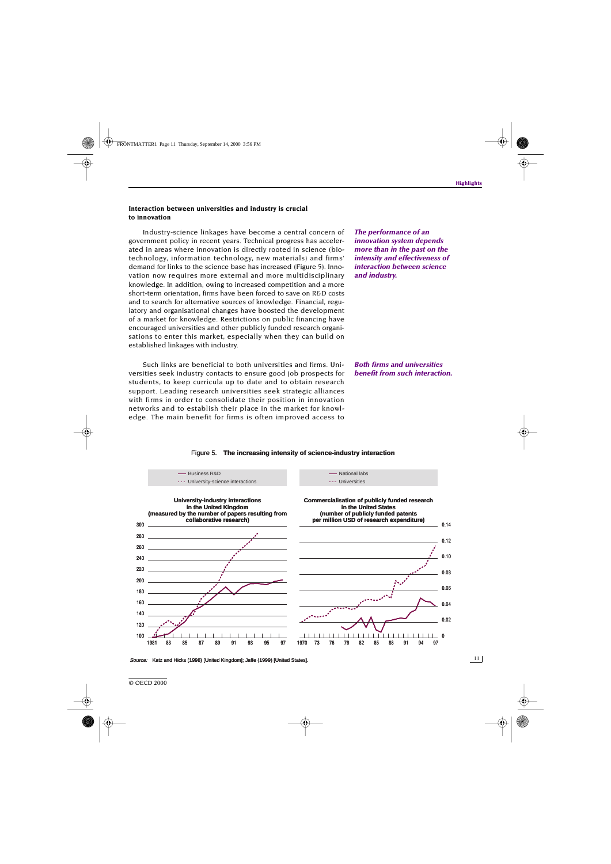## **Interaction between universities and industry is crucial to innovation**

Industry-science linkages have become a central concern of government policy in recent years. Technical progress has accelerated in areas where innovation is directly rooted in science (biotechnology, information technology, new materials) and firms' demand for links to the science base has increased (Figure 5). Innovation now requires more external and more multidisciplinary knowledge. In addition, owing to increased competition and a more short-term orientation, firms have been forced to save on R&D costs and to search for alternative sources of knowledge. Financial, regulatory and organisational changes have boosted the development of a market for knowledge. Restrictions on public financing have encouraged universities and other publicly funded research organisations to enter this market, especially when they can build on established linkages with industry.

Such links are beneficial to both universities and firms. Universities seek industry contacts to ensure good job prospects for students, to keep curricula up to date and to obtain research support. Leading research universities seek strategic alliances with firms in order to consolidate their position in innovation networks and to establish their place in the market for knowledge. The main benefit for firms is often improved access to

*The performance of an innovation system depends more than in the past on the intensity and effectiveness of interaction between science and industry.* 

*Both firms and universities benefit from such interaction.* 



Figure 5. **The increasing intensity of science-industry interaction**

Source: Katz and Hicks (1998) [United Kingdom]; Jaffe (1999) [United States].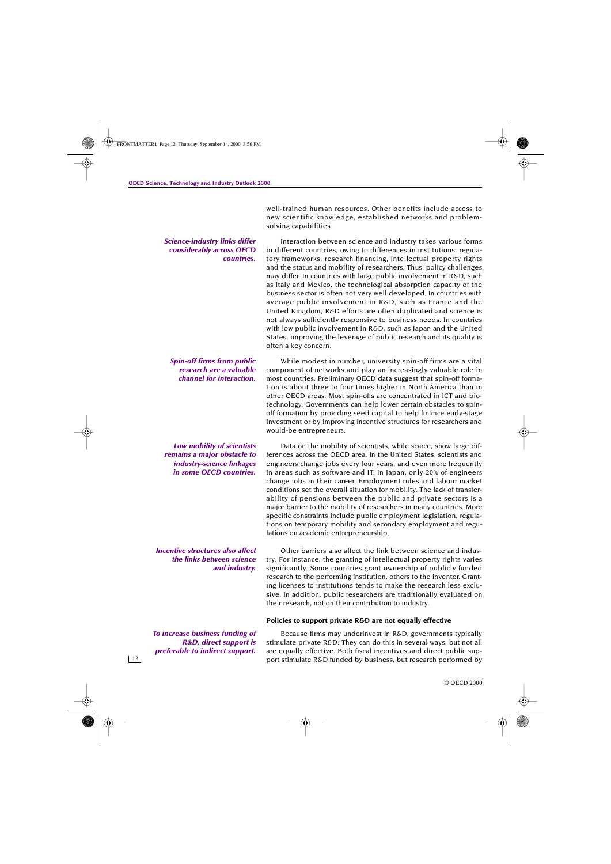well-trained human resources. Other benefits include access to new scientific knowledge, established networks and problemsolving capabilities.

### *Science-industry links differ considerably across OECD countries.*

Interaction between science and industry takes various forms in different countries, owing to differences in institutions, regulatory frameworks, research financing, intellectual property rights and the status and mobility of researchers. Thus, policy challenges may differ. In countries with large public involvement in R&D, such as Italy and Mexico, the technological absorption capacity of the business sector is often not very well developed. In countries with average public involvement in R&D, such as France and the United Kingdom, R&D efforts are often duplicated and science is not always sufficiently responsive to business needs. In countries with low public involvement in R&D, such as Japan and the United States, improving the leverage of public research and its quality is often a key concern.

#### *Spin-off firms from public research are a valuable channel for interaction.*

most countries. Preliminary OECD data suggest that spin-off formation is about three to four times higher in North America than in other OECD areas. Most spin-offs are concentrated in ICT and biotechnology. Governments can help lower certain obstacles to spinoff formation by providing seed capital to help finance early-stage investment or by improving incentive structures for researchers and would-be entrepreneurs.

While modest in number, university spin-off firms are a vital component of networks and play an increasingly valuable role in

*Low mobility of scientists remains a major obstacle to industry-science linkages in some OECD countries.*

Data on the mobility of scientists, while scarce, show large differences across the OECD area. In the United States, scientists and engineers change jobs every four years, and even more frequently in areas such as software and IT. In Japan, only 20% of engineers change jobs in their career. Employment rules and labour market conditions set the overall situation for mobility. The lack of transferability of pensions between the public and private sectors is a major barrier to the mobility of researchers in many countries. More specific constraints include public employment legislation, regulations on temporary mobility and secondary employment and regulations on academic entrepreneurship.

## *Incentive structures also affect the links between science and industry.*

Other barriers also affect the link between science and industry. For instance, the granting of intellectual property rights varies significantly. Some countries grant ownership of publicly funded research to the performing institution, others to the inventor. Granting licenses to institutions tends to make the research less exclusive. In addition, public researchers are traditionally evaluated on their research, not on their contribution to industry.

## **Policies to support private R&D are not equally effective**

*To increase business funding of R&D, direct support is preferable to indirect support.*

Because firms may underinvest in R&D, governments typically stimulate private R&D. They can do this in several ways, but not all are equally effective. Both fiscal incentives and direct public support stimulate R&D funded by business, but research performed by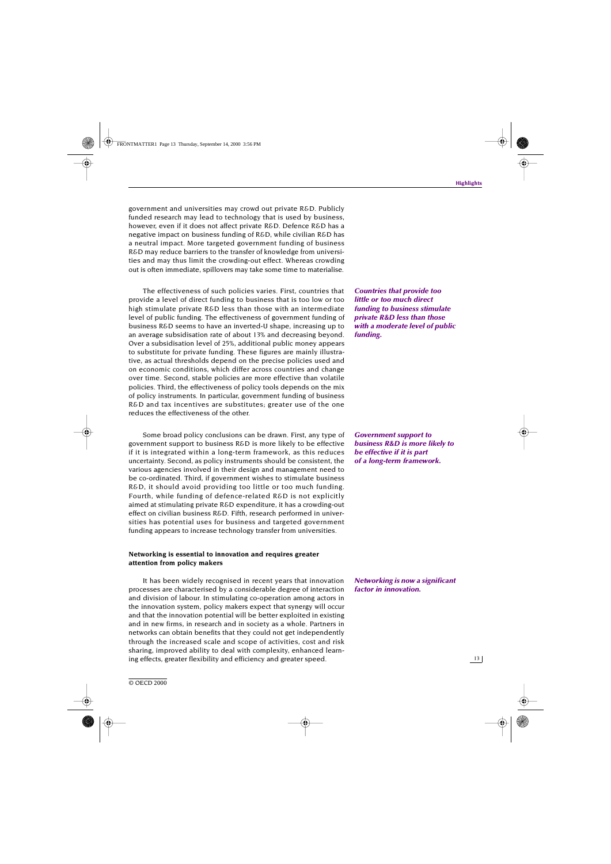government and universities may crowd out private R&D. Publicly funded research may lead to technology that is used by business, however, even if it does not affect private R&D. Defence R&D has a negative impact on business funding of R&D, while civilian R&D has a neutral impact. More targeted government funding of business R&D may reduce barriers to the transfer of knowledge from universities and may thus limit the crowding-out effect. Whereas crowding out is often immediate, spillovers may take some time to materialise.

The effectiveness of such policies varies. First, countries that provide a level of direct funding to business that is too low or too high stimulate private R&D less than those with an intermediate level of public funding. The effectiveness of government funding of business R&D seems to have an inverted-U shape, increasing up to an average subsidisation rate of about 13% and decreasing beyond. Over a subsidisation level of 25%, additional public money appears to substitute for private funding. These figures are mainly illustrative, as actual thresholds depend on the precise policies used and on economic conditions, which differ across countries and change over time. Second, stable policies are more effective than volatile policies. Third, the effectiveness of policy tools depends on the mix of policy instruments. In particular, government funding of business R&D and tax incentives are substitutes; greater use of the one reduces the effectiveness of the other.

Some broad policy conclusions can be drawn. First, any type of government support to business R&D is more likely to be effective if it is integrated within a long-term framework, as this reduces uncertainty. Second, as policy instruments should be consistent, the various agencies involved in their design and management need to be co-ordinated. Third, if government wishes to stimulate business R&D, it should avoid providing too little or too much funding. Fourth, while funding of defence-related R&D is not explicitly aimed at stimulating private R&D expenditure, it has a crowding-out effect on civilian business R&D. Fifth, research performed in universities has potential uses for business and targeted government funding appears to increase technology transfer from universities.

## **Networking is essential to innovation and requires greater attention from policy makers**

It has been widely recognised in recent years that innovation processes are characterised by a considerable degree of interaction and division of labour. In stimulating co-operation among actors in the innovation system, policy makers expect that synergy will occur and that the innovation potential will be better exploited in existing and in new firms, in research and in society as a whole. Partners in networks can obtain benefits that they could not get independently through the increased scale and scope of activities, cost and risk sharing, improved ability to deal with complexity, enhanced learning effects, greater flexibility and efficiency and greater speed.

*Countries that provide too little or too much direct funding to business stimulate private R&D less than those with a moderate level of public funding.* 

*Government support to business R&D is more likely to be effective if it is part of a long-term framework.* 

*Networking is now a significant factor in innovation.*